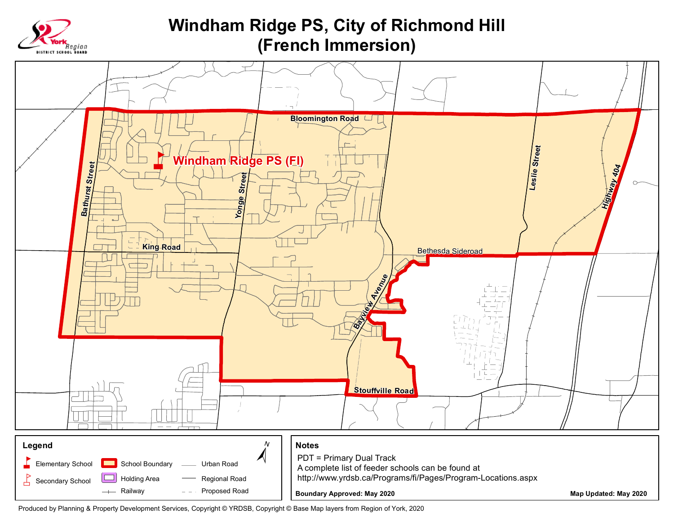

## **Windham Ridge PS, City of Richmond Hill** (French Immersion)



Produced by Planning & Property Development Services, Copyright @ YRDSB, Copyright @ Base Map layers from Region of York, 2020